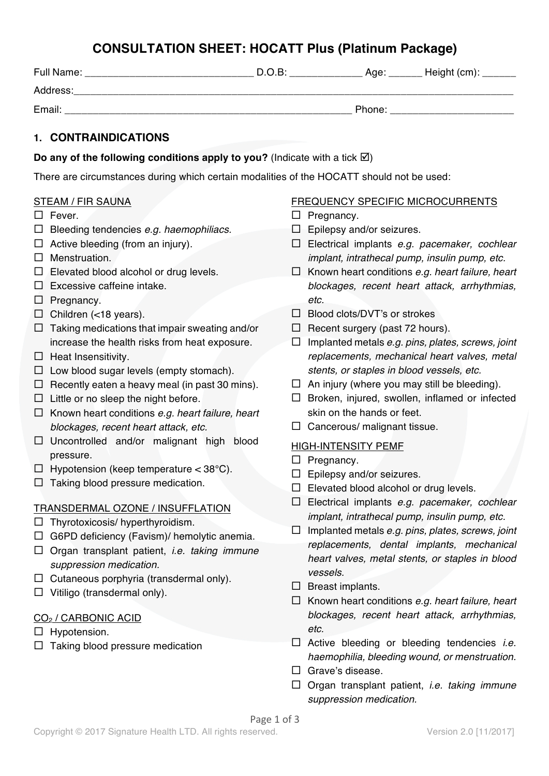## **CONSULTATION SHEET: HOCATT Plus (Platinum Package)**

| Full Name: | $D.O.B$ : | Age:   | Height (cm): |
|------------|-----------|--------|--------------|
| Address:   |           |        |              |
| Email:     |           | Phone: |              |

### **1. CONTRAINDICATIONS**

**Do any of the following conditions apply to you?** (Indicate with a tick  $\boxtimes$ )

There are circumstances during which certain modalities of the HOCATT should not be used:

#### STEAM / FIR SAUNA

- $\Box$  Fever.
- ¨ Bleeding tendencies *e.g. haemophiliacs.*
- $\Box$  Active bleeding (from an injury).
- $\square$  Menstruation.
- $\square$  Elevated blood alcohol or drug levels.
- $\square$  Excessive caffeine intake.
- $\square$  Pregnancy.
- $\square$  Children (<18 years).
- $\Box$  Taking medications that impair sweating and/or increase the health risks from heat exposure.
- $\square$  Heat Insensitivity.
- $\Box$  Low blood sugar levels (empty stomach).
- $\Box$  Recently eaten a heavy meal (in past 30 mins).
- $\Box$  Little or no sleep the night before.
- ¨ Known heart conditions *e.g. heart failure, heart blockages, recent heart attack, etc.*
- $\square$  Uncontrolled and/or malignant high blood pressure.
- $\Box$  Hypotension (keep temperature < 38°C).
- $\Box$  Taking blood pressure medication.

### TRANSDERMAL OZONE / INSUFFLATION

- $\Box$  Thyrotoxicosis/ hyperthyroidism.
- $\Box$  G6PD deficiency (Favism)/ hemolytic anemia.
- ¨ Organ transplant patient, *i.e. taking immune suppression medication.*
- $\Box$  Cutaneous porphyria (transdermal only).
- $\Box$  Vitiligo (transdermal only).

### CO2 / CARBONIC ACID

- $\square$  Hypotension.
- $\Box$  Taking blood pressure medication

#### FREQUENCY SPECIFIC MICROCURRENTS

- $\square$  Pregnancy.
- $\Box$  Epilepsy and/or seizures.
- ¨ Electrical implants *e.g. pacemaker, cochlear implant, intrathecal pump, insulin pump, etc.*
- ¨ Known heart conditions *e.g. heart failure, heart blockages, recent heart attack, arrhythmias, etc.*
- $\Box$  Blood clots/DVT's or strokes
- $\Box$  Recent surgery (past 72 hours).
- ¨ Implanted metals *e.g. pins, plates, screws, joint replacements, mechanical heart valves, metal stents, or staples in blood vessels, etc.*
- $\Box$  An injury (where you may still be bleeding).
- $\square$  Broken, injured, swollen, inflamed or infected skin on the hands or feet.
- $\square$  Cancerous/ malignant tissue.

### HIGH-INTENSITY PEMF

- $\square$  Pregnancy.
- $\square$  Epilepsy and/or seizures.
- $\square$  Elevated blood alcohol or drug levels.
- ¨ Electrical implants *e.g. pacemaker, cochlear implant, intrathecal pump, insulin pump, etc.*
- ¨ Implanted metals *e.g. pins, plates, screws, joint replacements, dental implants, mechanical heart valves, metal stents, or staples in blood vessels.*
- $\square$  Breast implants.
- ¨ Known heart conditions *e.g. heart failure, heart blockages, recent heart attack, arrhythmias, etc.*
- □ Active bleeding or bleeding tendencies *i.e. haemophilia, bleeding wound, or menstruation.*
- $\square$  Grave's disease.
- ¨ Organ transplant patient, *i.e. taking immune suppression medication.*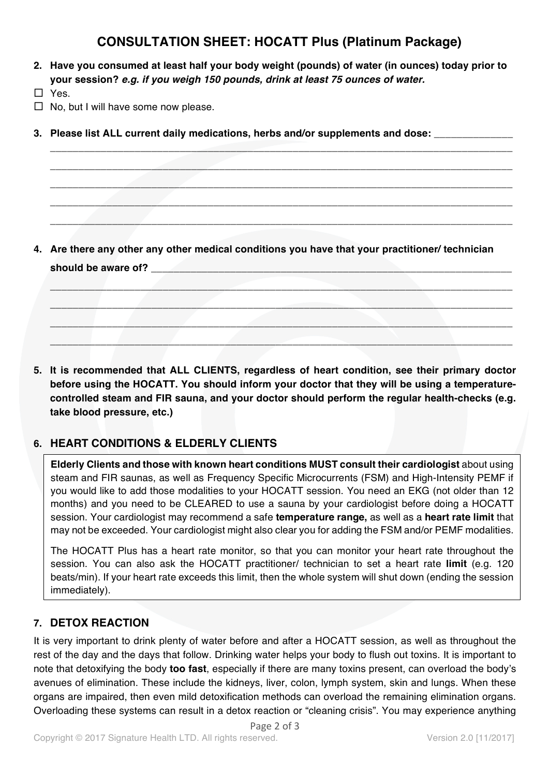# **CONSULTATION SHEET: HOCATT Plus (Platinum Package)**

**\_\_\_\_\_\_\_\_\_\_\_\_\_\_\_\_\_\_\_\_\_\_\_\_\_\_\_\_\_\_\_\_\_\_\_\_\_\_\_\_\_\_\_\_\_\_\_\_\_\_\_\_\_\_\_\_\_\_\_\_\_\_\_\_\_\_\_\_\_\_\_\_\_\_\_\_\_\_\_\_\_\_ \_\_\_\_\_\_\_\_\_\_\_\_\_\_\_\_\_\_\_\_\_\_\_\_\_\_\_\_\_\_\_\_\_\_\_\_\_\_\_\_\_\_\_\_\_\_\_\_\_\_\_\_\_\_\_\_\_\_\_\_\_\_\_\_\_\_\_\_\_\_\_\_\_\_\_\_\_\_\_\_\_\_ \_\_\_\_\_\_\_\_\_\_\_\_\_\_\_\_\_\_\_\_\_\_\_\_\_\_\_\_\_\_\_\_\_\_\_\_\_\_\_\_\_\_\_\_\_\_\_\_\_\_\_\_\_\_\_\_\_\_\_\_\_\_\_\_\_\_\_\_\_\_\_\_\_\_\_\_\_\_\_\_\_\_ \_\_\_\_\_\_\_\_\_\_\_\_\_\_\_\_\_\_\_\_\_\_\_\_\_\_\_\_\_\_\_\_\_\_\_\_\_\_\_\_\_\_\_\_\_\_\_\_\_\_\_\_\_\_\_\_\_\_\_\_\_\_\_\_\_\_\_\_\_\_\_\_\_\_\_\_\_\_\_\_\_\_ \_\_\_\_\_\_\_\_\_\_\_\_\_\_\_\_\_\_\_\_\_\_\_\_\_\_\_\_\_\_\_\_\_\_\_\_\_\_\_\_\_\_\_\_\_\_\_\_\_\_\_\_\_\_\_\_\_\_\_\_\_\_\_\_\_\_\_\_\_\_\_\_\_\_\_\_\_\_\_\_\_\_**

**2. Have you consumed at least half your body weight (pounds) of water (in ounces) today prior to your session?** *e.g. if you weigh 150 pounds, drink at least 75 ounces of water.*

 $\square$  Yes.

- $\Box$  No, but I will have some now please.
- **3. Please list ALL current daily medications, herbs and/or supplements and dose:** \_\_\_\_\_\_\_\_\_\_\_\_\_\_

**4. Are there any other any other medical conditions you have that your practitioner/ technician should be aware of? \_\_\_\_\_\_\_\_\_\_\_\_\_\_\_\_\_\_\_\_\_\_\_\_\_\_\_\_\_\_\_\_\_\_\_\_\_\_\_\_\_\_\_\_\_\_\_\_\_\_\_\_\_\_\_\_\_\_\_\_\_\_\_\_**

**\_\_\_\_\_\_\_\_\_\_\_\_\_\_\_\_\_\_\_\_\_\_\_\_\_\_\_\_\_\_\_\_\_\_\_\_\_\_\_\_\_\_\_\_\_\_\_\_\_\_\_\_\_\_\_\_\_\_\_\_\_\_\_\_\_\_\_\_\_\_\_\_\_\_\_\_\_\_\_\_\_\_ \_\_\_\_\_\_\_\_\_\_\_\_\_\_\_\_\_\_\_\_\_\_\_\_\_\_\_\_\_\_\_\_\_\_\_\_\_\_\_\_\_\_\_\_\_\_\_\_\_\_\_\_\_\_\_\_\_\_\_\_\_\_\_\_\_\_\_\_\_\_\_\_\_\_\_\_\_\_\_\_\_\_ \_\_\_\_\_\_\_\_\_\_\_\_\_\_\_\_\_\_\_\_\_\_\_\_\_\_\_\_\_\_\_\_\_\_\_\_\_\_\_\_\_\_\_\_\_\_\_\_\_\_\_\_\_\_\_\_\_\_\_\_\_\_\_\_\_\_\_\_\_\_\_\_\_\_\_\_\_\_\_\_\_\_ \_\_\_\_\_\_\_\_\_\_\_\_\_\_\_\_\_\_\_\_\_\_\_\_\_\_\_\_\_\_\_\_\_\_\_\_\_\_\_\_\_\_\_\_\_\_\_\_\_\_\_\_\_\_\_\_\_\_\_\_\_\_\_\_\_\_\_\_\_\_\_\_\_\_\_\_\_\_\_\_\_\_**

**5. It is recommended that ALL CLIENTS, regardless of heart condition, see their primary doctor before using the HOCATT. You should inform your doctor that they will be using a temperaturecontrolled steam and FIR sauna, and your doctor should perform the regular health-checks (e.g. take blood pressure, etc.)**

### **6. HEART CONDITIONS & ELDERLY CLIENTS**

**Elderly Clients and those with known heart conditions MUST consult their cardiologist** about using steam and FIR saunas, as well as Frequency Specific Microcurrents (FSM) and High-Intensity PEMF if you would like to add those modalities to your HOCATT session. You need an EKG (not older than 12 months) and you need to be CLEARED to use a sauna by your cardiologist before doing a HOCATT session. Your cardiologist may recommend a safe **temperature range,** as well as a **heart rate limit** that may not be exceeded. Your cardiologist might also clear you for adding the FSM and/or PEMF modalities.

The HOCATT Plus has a heart rate monitor, so that you can monitor your heart rate throughout the session. You can also ask the HOCATT practitioner/ technician to set a heart rate **limit** (e.g. 120 beats/min). If your heart rate exceeds this limit, then the whole system will shut down (ending the session immediately).

### **7. DETOX REACTION**

It is very important to drink plenty of water before and after a HOCATT session, as well as throughout the rest of the day and the days that follow. Drinking water helps your body to flush out toxins. It is important to note that detoxifying the body **too fast**, especially if there are many toxins present, can overload the body's avenues of elimination. These include the kidneys, liver, colon, lymph system, skin and lungs. When these organs are impaired, then even mild detoxification methods can overload the remaining elimination organs. Overloading these systems can result in a detox reaction or "cleaning crisis". You may experience anything